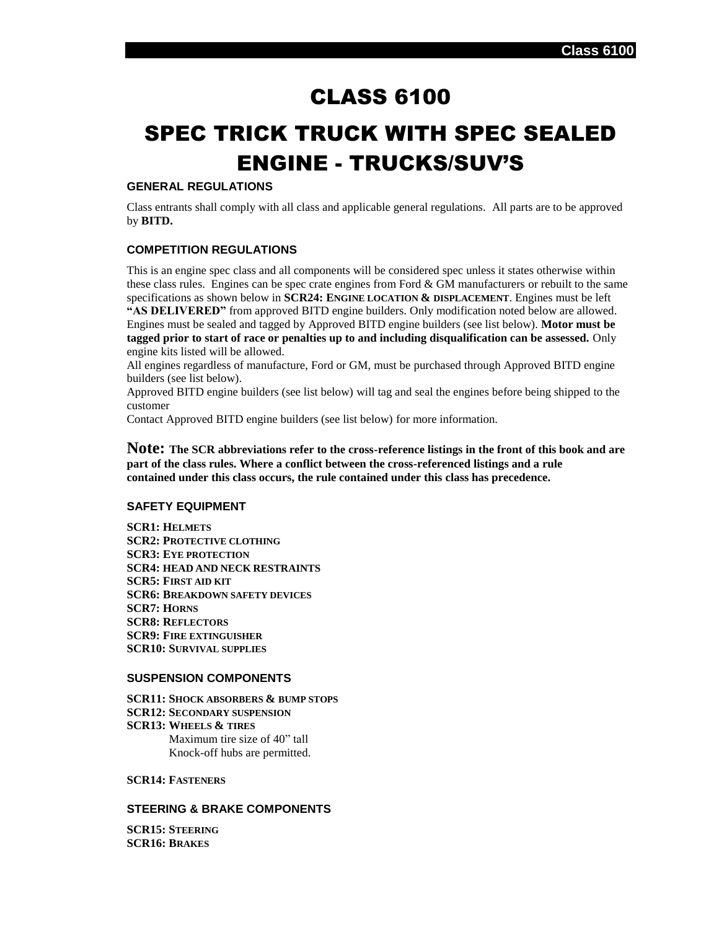# CLASS 6100

# SPEC TRICK TRUCK WITH SPEC SEALED ENGINE - TRUCKS/SUV'S

#### **GENERAL REGULATIONS**

Class entrants shall comply with all class and applicable general regulations. All parts are to be approved by **BITD.**

# **COMPETITION REGULATIONS**

This is an engine spec class and all components will be considered spec unless it states otherwise within these class rules. Engines can be spec crate engines from Ford & GM manufacturers or rebuilt to the same specifications as shown below in **SCR24: ENGINE LOCATION & DISPLACEMENT**. Engines must be left **"AS DELIVERED"** from approved BITD engine builders. Only modification noted below are allowed. Engines must be sealed and tagged by Approved BITD engine builders (see list below). **Motor must be tagged prior to start of race or penalties up to and including disqualification can be assessed.** Only engine kits listed will be allowed.

All engines regardless of manufacture, Ford or GM, must be purchased through Approved BITD engine builders (see list below).

Approved BITD engine builders (see list below) will tag and seal the engines before being shipped to the customer

Contact Approved BITD engine builders (see list below) for more information.

**Note: The SCR abbreviations refer to the cross-reference listings in the front of this book and are part of the class rules. Where a conflict between the cross-referenced listings and a rule contained under this class occurs, the rule contained under this class has precedence.**

#### **SAFETY EQUIPMENT**

**SCR1: HELMETS SCR2: PROTECTIVE CLOTHING SCR3: EYE PROTECTION SCR4: HEAD AND NECK RESTRAINTS SCR5: FIRST AID KIT SCR6: BREAKDOWN SAFETY DEVICES SCR7: HORNS SCR8: REFLECTORS SCR9: FIRE EXTINGUISHER SCR10: SURVIVAL SUPPLIES**

# **SUSPENSION COMPONENTS**

**SCR11: SHOCK ABSORBERS & BUMP STOPS SCR12: SECONDARY SUSPENSION SCR13: WHEELS & TIRES** Maximum tire size of 40" tall Knock-off hubs are permitted.

#### **SCR14: FASTENERS**

#### **STEERING & BRAKE COMPONENTS**

**SCR15: STEERING SCR16: BRAKES**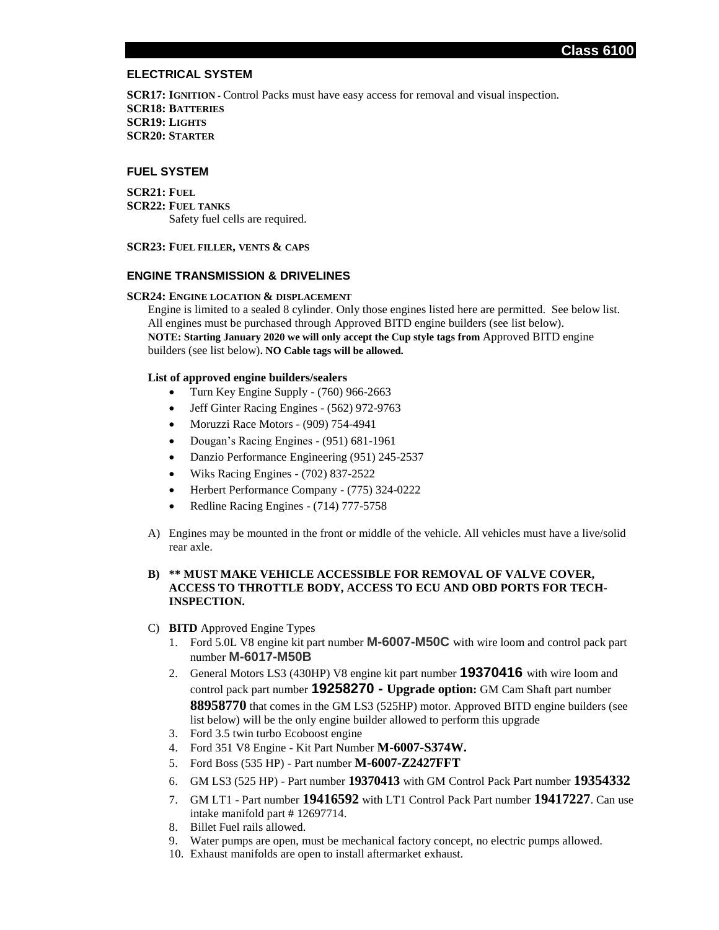#### **ELECTRICAL SYSTEM**

**SCR17: IGNITION -** Control Packs must have easy access for removal and visual inspection. **SCR18: BATTERIES SCR19: LIGHTS SCR20: STARTER**

#### **FUEL SYSTEM**

**SCR21: FUEL SCR22: FUEL TANKS** Safety fuel cells are required.

**SCR23: FUEL FILLER, VENTS & CAPS**

#### **ENGINE TRANSMISSION & DRIVELINES**

#### **SCR24: ENGINE LOCATION & DISPLACEMENT**

Engine is limited to a sealed 8 cylinder. Only those engines listed here are permitted. See below list. All engines must be purchased through Approved BITD engine builders (see list below). **NOTE: Starting January 2020 we will only accept the Cup style tags from** Approved BITD engine builders (see list below)**. NO Cable tags will be allowed.**

#### **List of approved engine builders/sealers**

- Turn Key Engine Supply (760) 966-2663
- Jeff Ginter Racing Engines (562) 972-9763
- Moruzzi Race Motors (909) 754-4941
- Dougan's Racing Engines (951) 681-1961
- Danzio Performance Engineering (951) 245-2537
- Wiks Racing Engines (702) 837-2522
- Herbert Performance Company (775) 324-0222
- Redline Racing Engines (714) 777-5758
- A) Engines may be mounted in the front or middle of the vehicle. All vehicles must have a live/solid rear axle.

# **B) \*\* MUST MAKE VEHICLE ACCESSIBLE FOR REMOVAL OF VALVE COVER, ACCESS TO THROTTLE BODY, ACCESS TO ECU AND OBD PORTS FOR TECH-INSPECTION.**

- C) **BITD** Approved Engine Types
	- 1. Ford 5.0L V8 engine kit part number **M-6007-M50C** with wire loom and control pack part number **M-6017-M50B**
	- 2. General Motors LS3 (430HP) V8 engine kit part number **19370416** with wire loom and control pack part number **19258270 - Upgrade option:** GM Cam Shaft part number **88958770** that comes in the GM LS3 (525HP) motor. Approved BITD engine builders (see list below) will be the only engine builder allowed to perform this upgrade
	- 3. Ford 3.5 twin turbo Ecoboost engine
	- 4. Ford 351 V8 Engine Kit Part Number **M-6007-S374W.**
	- 5. Ford Boss (535 HP) Part number **M-6007-Z2427FFT**
	- 6. GM LS3 (525 HP) Part number **19370413** with GM Control Pack Part number **19354332**
	- 7. GM LT1 Part number **19416592** with LT1 Control Pack Part number **19417227**. Can use intake manifold part # 12697714.
	- 8. Billet Fuel rails allowed.
	- 9. Water pumps are open, must be mechanical factory concept, no electric pumps allowed.
	- 10. Exhaust manifolds are open to install aftermarket exhaust.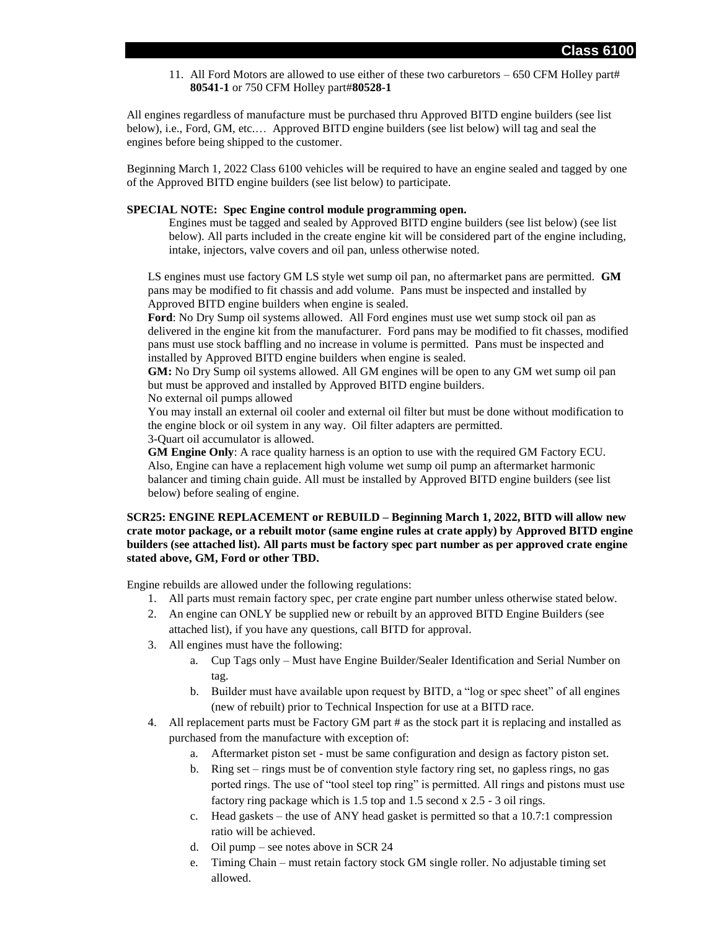11. All Ford Motors are allowed to use either of these two carburetors – 650 CFM Holley part# **80541-1** or 750 CFM Holley part#**80528-1**

All engines regardless of manufacture must be purchased thru Approved BITD engine builders (see list below), i.e., Ford, GM, etc.… Approved BITD engine builders (see list below) will tag and seal the engines before being shipped to the customer.

Beginning March 1, 2022 Class 6100 vehicles will be required to have an engine sealed and tagged by one of the Approved BITD engine builders (see list below) to participate.

#### **SPECIAL NOTE: Spec Engine control module programming open.**

Engines must be tagged and sealed by Approved BITD engine builders (see list below) (see list below). All parts included in the create engine kit will be considered part of the engine including, intake, injectors, valve covers and oil pan, unless otherwise noted.

LS engines must use factory GM LS style wet sump oil pan, no aftermarket pans are permitted. **GM** pans may be modified to fit chassis and add volume. Pans must be inspected and installed by Approved BITD engine builders when engine is sealed.

**Ford**: No Dry Sump oil systems allowed. All Ford engines must use wet sump stock oil pan as delivered in the engine kit from the manufacturer. Ford pans may be modified to fit chasses, modified pans must use stock baffling and no increase in volume is permitted. Pans must be inspected and installed by Approved BITD engine builders when engine is sealed.

**GM:** No Dry Sump oil systems allowed. All GM engines will be open to any GM wet sump oil pan but must be approved and installed by Approved BITD engine builders.

No external oil pumps allowed

You may install an external oil cooler and external oil filter but must be done without modification to the engine block or oil system in any way. Oil filter adapters are permitted.

3-Quart oil accumulator is allowed.

**GM Engine Only**: A race quality harness is an option to use with the required GM Factory ECU. Also, Engine can have a replacement high volume wet sump oil pump an aftermarket harmonic balancer and timing chain guide. All must be installed by Approved BITD engine builders (see list below) before sealing of engine.

#### **SCR25: ENGINE REPLACEMENT or REBUILD – Beginning March 1, 2022, BITD will allow new crate motor package, or a rebuilt motor (same engine rules at crate apply) by Approved BITD engine builders (see attached list). All parts must be factory spec part number as per approved crate engine stated above, GM, Ford or other TBD.**

Engine rebuilds are allowed under the following regulations:

- 1. All parts must remain factory spec, per crate engine part number unless otherwise stated below.
- 2. An engine can ONLY be supplied new or rebuilt by an approved BITD Engine Builders (see attached list), if you have any questions, call BITD for approval.
- 3. All engines must have the following:
	- a. Cup Tags only Must have Engine Builder/Sealer Identification and Serial Number on tag.
	- b. Builder must have available upon request by BITD, a "log or spec sheet" of all engines (new of rebuilt) prior to Technical Inspection for use at a BITD race.
- 4. All replacement parts must be Factory GM part # as the stock part it is replacing and installed as purchased from the manufacture with exception of:
	- a. Aftermarket piston set must be same configuration and design as factory piston set.
	- b. Ring set rings must be of convention style factory ring set, no gapless rings, no gas ported rings. The use of "tool steel top ring" is permitted. All rings and pistons must use factory ring package which is 1.5 top and 1.5 second x 2.5 - 3 oil rings.
	- c. Head gaskets the use of ANY head gasket is permitted so that a 10.7:1 compression ratio will be achieved.
	- d. Oil pump see notes above in SCR 24
	- e. Timing Chain must retain factory stock GM single roller. No adjustable timing set allowed.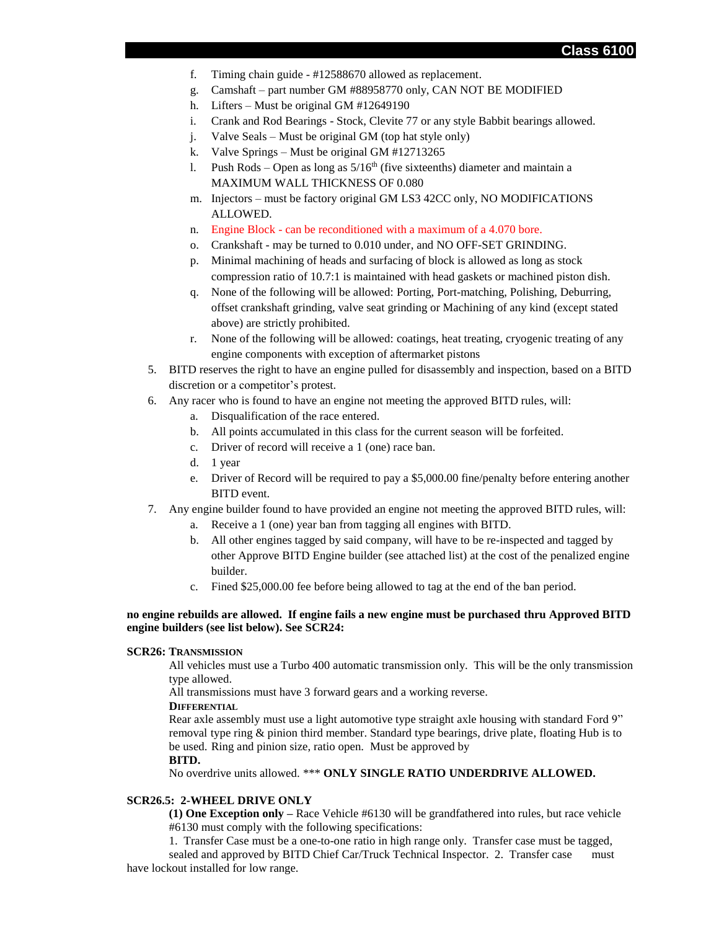- f. Timing chain guide #12588670 allowed as replacement.
- g. Camshaft part number GM #88958770 only, CAN NOT BE MODIFIED
- h. Lifters Must be original GM #12649190
- i. Crank and Rod Bearings Stock, Clevite 77 or any style Babbit bearings allowed.
- j. Valve Seals Must be original GM (top hat style only)
- k. Valve Springs Must be original GM #12713265
- l. Push Rods Open as long as  $5/16^{th}$  (five sixteenths) diameter and maintain a MAXIMUM WALL THICKNESS OF 0.080
- m. Injectors must be factory original GM LS3 42CC only, NO MODIFICATIONS ALLOWED.
- n. Engine Block can be reconditioned with a maximum of a 4.070 bore.
- o. Crankshaft may be turned to 0.010 under, and NO OFF-SET GRINDING.
- p. Minimal machining of heads and surfacing of block is allowed as long as stock compression ratio of 10.7:1 is maintained with head gaskets or machined piston dish.
- q. None of the following will be allowed: Porting, Port-matching, Polishing, Deburring, offset crankshaft grinding, valve seat grinding or Machining of any kind (except stated above) are strictly prohibited.
- r. None of the following will be allowed: coatings, heat treating, cryogenic treating of any engine components with exception of aftermarket pistons
- 5. BITD reserves the right to have an engine pulled for disassembly and inspection, based on a BITD discretion or a competitor's protest.
- 6. Any racer who is found to have an engine not meeting the approved BITD rules, will:
	- a. Disqualification of the race entered.
	- b. All points accumulated in this class for the current season will be forfeited.
	- c. Driver of record will receive a 1 (one) race ban.
	- d. 1 year
	- e. Driver of Record will be required to pay a \$5,000.00 fine/penalty before entering another BITD event.
- 7. Any engine builder found to have provided an engine not meeting the approved BITD rules, will:
	- a. Receive a 1 (one) year ban from tagging all engines with BITD.
	- b. All other engines tagged by said company, will have to be re-inspected and tagged by other Approve BITD Engine builder (see attached list) at the cost of the penalized engine builder.
	- c. Fined \$25,000.00 fee before being allowed to tag at the end of the ban period.

#### **no engine rebuilds are allowed. If engine fails a new engine must be purchased thru Approved BITD engine builders (see list below). See SCR24:**

#### **SCR26: TRANSMISSION**

All vehicles must use a Turbo 400 automatic transmission only. This will be the only transmission type allowed.

All transmissions must have 3 forward gears and a working reverse.

#### **DIFFERENTIAL**

Rear axle assembly must use a light automotive type straight axle housing with standard Ford 9" removal type ring & pinion third member. Standard type bearings, drive plate, floating Hub is to be used. Ring and pinion size, ratio open. Must be approved by

#### **BITD.**

No overdrive units allowed. \*\*\* **ONLY SINGLE RATIO UNDERDRIVE ALLOWED.**

#### **SCR26.5: 2-WHEEL DRIVE ONLY**

**(1) One Exception only –** Race Vehicle #6130 will be grandfathered into rules, but race vehicle #6130 must comply with the following specifications:

1. Transfer Case must be a one-to-one ratio in high range only. Transfer case must be tagged,

sealed and approved by BITD Chief Car/Truck Technical Inspector. 2. Transfer case must have lockout installed for low range.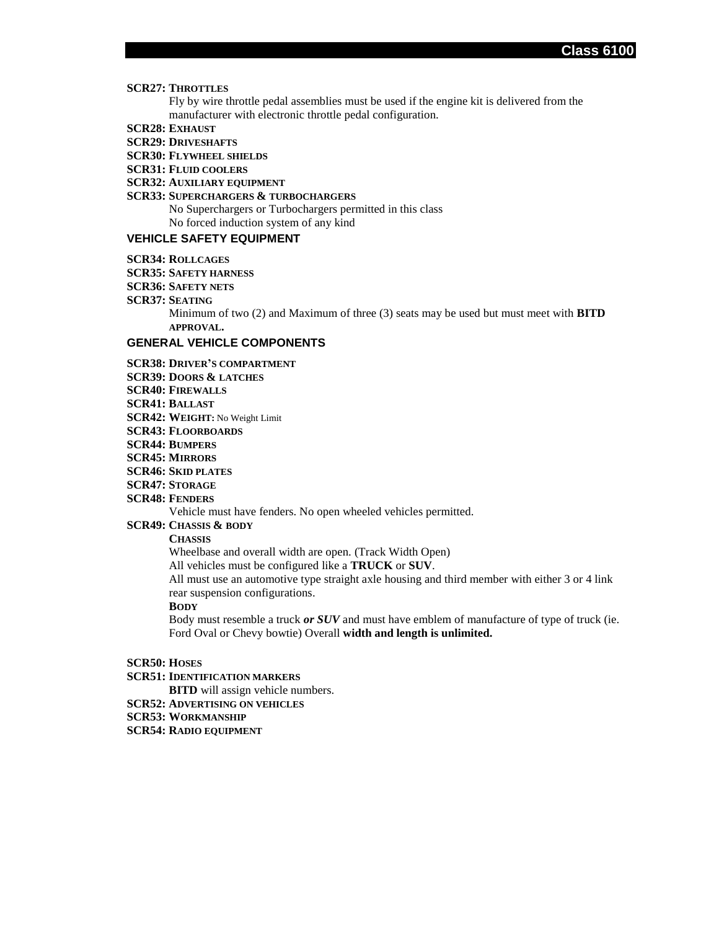**Class 6100**

#### **SCR27: THROTTLES**

Fly by wire throttle pedal assemblies must be used if the engine kit is delivered from the manufacturer with electronic throttle pedal configuration.

- **SCR28: EXHAUST**
- **SCR29: DRIVESHAFTS**
- **SCR30: FLYWHEEL SHIELDS**
- **SCR31: FLUID COOLERS**
- **SCR32: AUXILIARY EQUIPMENT**

#### **SCR33: SUPERCHARGERS & TURBOCHARGERS**

No Superchargers or Turbochargers permitted in this class No forced induction system of any kind

#### **VEHICLE SAFETY EQUIPMENT**

- **SCR34: ROLLCAGES**
- **SCR35: SAFETY HARNESS**
- **SCR36: SAFETY NETS**
- **SCR37: SEATING**

Minimum of two (2) and Maximum of three (3) seats may be used but must meet with **BITD APPROVAL.**

#### **GENERAL VEHICLE COMPONENTS**

- **SCR38: DRIVER'S COMPARTMENT**
- **SCR39: DOORS & LATCHES**
- **SCR40: FIREWALLS**
- **SCR41: BALLAST**
- **SCR42: WEIGHT:** No Weight Limit
- **SCR43: FLOORBOARDS**
- **SCR44: BUMPERS**
- **SCR45: MIRRORS**
- **SCR46: SKID PLATES**
- **SCR47: STORAGE**
- **SCR48: FENDERS**

Vehicle must have fenders. No open wheeled vehicles permitted.

#### **SCR49: CHASSIS & BODY**

#### **CHASSIS**

Wheelbase and overall width are open. (Track Width Open)

All vehicles must be configured like a **TRUCK** or **SUV**.

All must use an automotive type straight axle housing and third member with either 3 or 4 link rear suspension configurations.

## **BODY**

Body must resemble a truck *or SUV* and must have emblem of manufacture of type of truck (ie. Ford Oval or Chevy bowtie) Overall **width and length is unlimited.**

- **SCR50: HOSES**
- **SCR51: IDENTIFICATION MARKERS**
	- **BITD** will assign vehicle numbers.
- **SCR52: ADVERTISING ON VEHICLES**
- **SCR53: WORKMANSHIP**
- **SCR54: RADIO EQUIPMENT**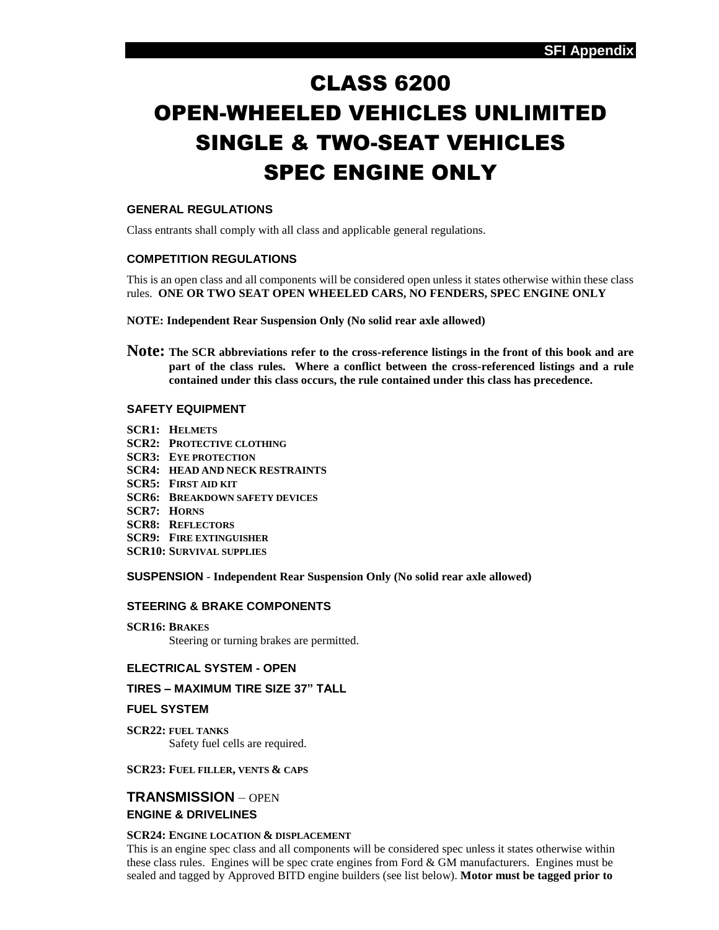# CLASS 6200 OPEN-WHEELED VEHICLES UNLIMITED SINGLE & TWO-SEAT VEHICLES SPEC ENGINE ONLY

# **GENERAL REGULATIONS**

Class entrants shall comply with all class and applicable general regulations.

#### **COMPETITION REGULATIONS**

This is an open class and all components will be considered open unless it states otherwise within these class rules. **ONE OR TWO SEAT OPEN WHEELED CARS, NO FENDERS, SPEC ENGINE ONLY**

- **NOTE: Independent Rear Suspension Only (No solid rear axle allowed)**
- **Note: The SCR abbreviations refer to the cross-reference listings in the front of this book and are part of the class rules. Where a conflict between the cross-referenced listings and a rule contained under this class occurs, the rule contained under this class has precedence.**

## **SAFETY EQUIPMENT**

- **SCR1: HELMETS**
- **SCR2: PROTECTIVE CLOTHING**
- **SCR3: EYE PROTECTION**
- **SCR4: HEAD AND NECK RESTRAINTS**
- **SCR5: FIRST AID KIT**
- **SCR6: BREAKDOWN SAFETY DEVICES**
- **SCR7: HORNS**
- **SCR8: REFLECTORS**
- **SCR9: FIRE EXTINGUISHER**
- **SCR10: SURVIVAL SUPPLIES**

**SUSPENSION** - **Independent Rear Suspension Only (No solid rear axle allowed)**

## **STEERING & BRAKE COMPONENTS**

**SCR16: BRAKES**

Steering or turning brakes are permitted.

#### **ELECTRICAL SYSTEM - OPEN**

#### **TIRES – MAXIMUM TIRE SIZE 37" TALL**

#### **FUEL SYSTEM**

**SCR22: FUEL TANKS** Safety fuel cells are required.

#### **SCR23: FUEL FILLER, VENTS & CAPS**

# **TRANSMISSION** – OPEN **ENGINE & DRIVELINES**

#### **SCR24: ENGINE LOCATION & DISPLACEMENT**

This is an engine spec class and all components will be considered spec unless it states otherwise within these class rules. Engines will be spec crate engines from Ford & GM manufacturers. Engines must be sealed and tagged by Approved BITD engine builders (see list below). **Motor must be tagged prior to**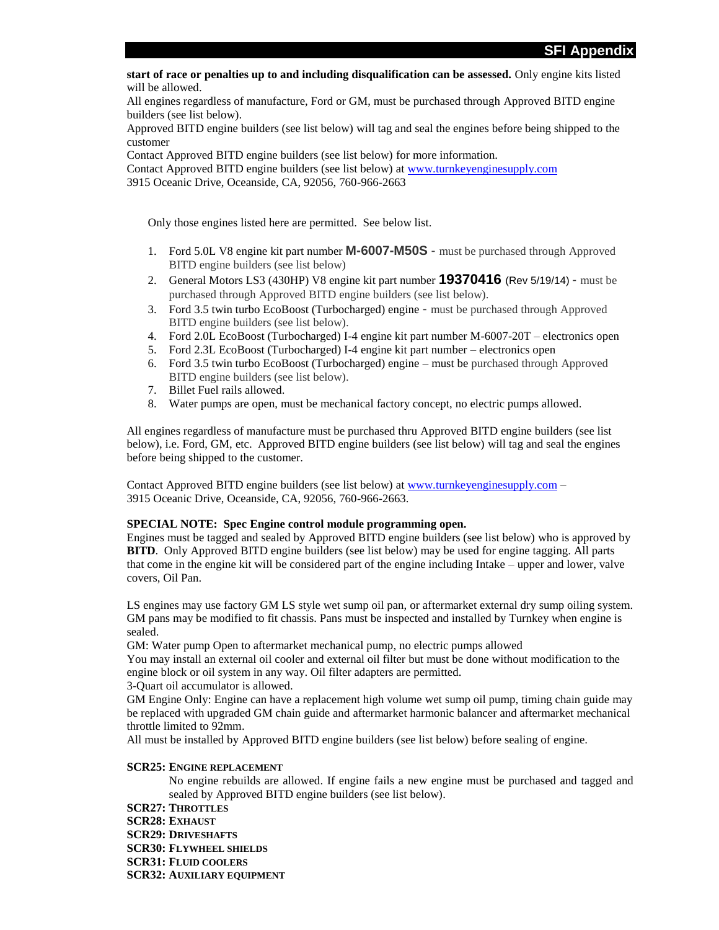**start of race or penalties up to and including disqualification can be assessed.** Only engine kits listed will be allowed.

All engines regardless of manufacture, Ford or GM, must be purchased through Approved BITD engine builders (see list below).

Approved BITD engine builders (see list below) will tag and seal the engines before being shipped to the customer

Contact Approved BITD engine builders (see list below) for more information.

Contact Approved BITD engine builders (see list below) at [www.turnkeyenginesupply.com](http://www.turnkeyenginesupply.com/)

3915 Oceanic Drive, Oceanside, CA, 92056, 760-966-2663

Only those engines listed here are permitted. See below list.

- 1. Ford 5.0L V8 engine kit part number **M-6007-M50S**  must be purchased through Approved BITD engine builders (see list below)
- 2. General Motors LS3 (430HP) V8 engine kit part number **19370416** (Rev 5/19/14) must be purchased through Approved BITD engine builders (see list below).
- 3. Ford 3.5 twin turbo EcoBoost (Turbocharged) engine must be purchased through Approved BITD engine builders (see list below).
- 4. Ford 2.0L EcoBoost (Turbocharged) I-4 engine kit part number M-6007-20T electronics open
- 5. Ford 2.3L EcoBoost (Turbocharged) I-4 engine kit part number electronics open
- 6. Ford 3.5 twin turbo EcoBoost (Turbocharged) engine must be purchased through Approved BITD engine builders (see list below).
- 7. Billet Fuel rails allowed.
- 8. Water pumps are open, must be mechanical factory concept, no electric pumps allowed.

All engines regardless of manufacture must be purchased thru Approved BITD engine builders (see list below), i.e. Ford, GM, etc. Approved BITD engine builders (see list below) will tag and seal the engines before being shipped to the customer.

Contact Approved BITD engine builders (see list below) at [www.turnkeyenginesupply.com](http://www.turnkeyenginesupply.com/) – 3915 Oceanic Drive, Oceanside, CA, 92056, 760-966-2663.

#### **SPECIAL NOTE: Spec Engine control module programming open.**

Engines must be tagged and sealed by Approved BITD engine builders (see list below) who is approved by **BITD**. Only Approved BITD engine builders (see list below) may be used for engine tagging. All parts that come in the engine kit will be considered part of the engine including Intake – upper and lower, valve covers, Oil Pan.

LS engines may use factory GM LS style wet sump oil pan, or aftermarket external dry sump oiling system. GM pans may be modified to fit chassis. Pans must be inspected and installed by Turnkey when engine is sealed.

GM: Water pump Open to aftermarket mechanical pump, no electric pumps allowed

You may install an external oil cooler and external oil filter but must be done without modification to the engine block or oil system in any way. Oil filter adapters are permitted.

3-Quart oil accumulator is allowed.

GM Engine Only: Engine can have a replacement high volume wet sump oil pump, timing chain guide may be replaced with upgraded GM chain guide and aftermarket harmonic balancer and aftermarket mechanical throttle limited to 92mm.

All must be installed by Approved BITD engine builders (see list below) before sealing of engine.

#### **SCR25: ENGINE REPLACEMENT**

No engine rebuilds are allowed. If engine fails a new engine must be purchased and tagged and sealed by Approved BITD engine builders (see list below).

**SCR27: THROTTLES SCR28: EXHAUST SCR29: DRIVESHAFTS SCR30: FLYWHEEL SHIELDS SCR31: FLUID COOLERS SCR32: AUXILIARY EQUIPMENT**